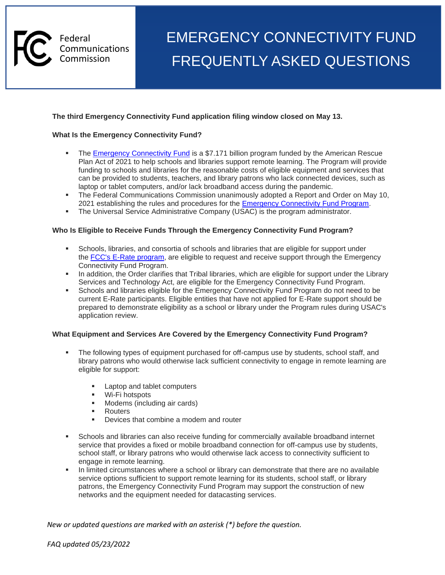

# FREQUENTLY ASKED QUESTIONS Federal **EMERGENCY CONNECTIVITY FUND**

# **The third Emergency Connectivity Fund application filing window closed on May 13.**

#### **What Is the Emergency Connectivity Fund?**

- The [Emergency Connectivity Fund](https://www.fcc.gov/emergency-connectivity-fund) is a \$7.171 billion program funded by the American Rescue Plan Act of 2021 to help schools and libraries support remote learning. The Program will provide funding to schools and libraries for the reasonable costs of eligible equipment and services that can be provided to students, teachers, and library patrons who lack connected devices, such as laptop or tablet computers, and/or lack broadband access during the pandemic.
- **The Federal Communications Commission unanimously adopted a Report and Order on May 10,** 2021 establishing the rules and procedures for the **[Emergency Connectivity Fund Program.](https://docs.fcc.gov/public/attachments/FCC-21-58A1.pdf)**
- **The Universal Service Administrative Company (USAC) is the program administrator.**

#### **Who Is Eligible to Receive Funds Through the Emergency Connectivity Fund Program?**

- Schools, libraries, and consortia of schools and libraries that are eligible for support under the [FCC's E-Rate program,](https://www.fcc.gov/general/e-rate-schools-libraries-usf-program) are eligible to request and receive support through the Emergency Connectivity Fund Program.
- **•** In addition, the Order clarifies that Tribal libraries, which are eligible for support under the Library Services and Technology Act, are eligible for the Emergency Connectivity Fund Program.
- Schools and libraries eligible for the Emergency Connectivity Fund Program do not need to be current E-Rate participants. Eligible entities that have not applied for E-Rate support should be prepared to demonstrate eligibility as a school or library under the Program rules during USAC's application review.

#### **What Equipment and Services Are Covered by the Emergency Connectivity Fund Program?**

- The following types of equipment purchased for off-campus use by students, school staff, and library patrons who would otherwise lack sufficient connectivity to engage in remote learning are eligible for support:
	- Laptop and tablet computers
	- Wi-Fi hotspots
	- Modems (including air cards)
	- Routers
	- Devices that combine a modem and router
- **•** Schools and libraries can also receive funding for commercially available broadband internet service that provides a fixed or mobile broadband connection for off-campus use by students, school staff, or library patrons who would otherwise lack access to connectivity sufficient to engage in remote learning.
- In limited circumstances where a school or library can demonstrate that there are no available service options sufficient to support remote learning for its students, school staff, or library patrons, the Emergency Connectivity Fund Program may support the construction of new networks and the equipment needed for datacasting services.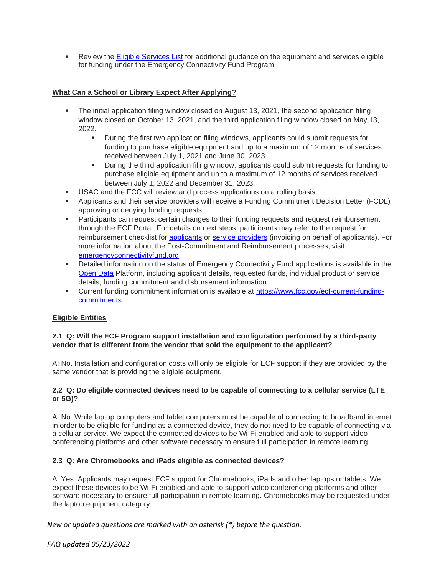**EXECT:** Review the [Eligible Services List](https://www.fcc.gov/sites/default/files/ecf_esl.pdf) for additional guidance on the equipment and services eligible for funding under the Emergency Connectivity Fund Program.

# **What Can a School or Library Expect After Applying?**

- The initial application filing window closed on August 13, 2021, the second application filing window closed on October 13, 2021, and the third application filing window closed on May 13, 2022.
	- During the first two application filing windows, applicants could submit requests for funding to purchase eligible equipment and up to a maximum of 12 months of services received between July 1, 2021 and June 30, 2023.
	- **•** During the third application filing window, applicants could submit requests for funding to purchase eligible equipment and up to a maximum of 12 months of services received between July 1, 2022 and December 31, 2023.
- **USAC and the FCC will review and process applications on a rolling basis.**
- Applicants and their service providers will receive a Funding Commitment Decision Letter (FCDL) approving or denying funding requests.
- **■** Participants can request certain changes to their funding requests and request reimbursement through the ECF Portal. For details on next steps, participants may refer to the request for reimbursement checklist for [applicants](https://www.emergencyconnectivityfund.org/applicants/request-for-reimbursement-ecf-fcc-form-472-bear-checklist/) or [service providers](https://www.emergencyconnectivityfund.org/service-providers/request-for-reimbursement-ecf-fcc-form-474-spi-checklist/) (invoicing on behalf of applicants). For more information about the Post-Commitment and Reimbursement processes, visit [emergencyconnectivityfund.org.](https://www.emergencyconnectivityfund.org/)
- Detailed information on the status of Emergency Connectivity Fund applications is available in the [Open Data](https://www.emergencyconnectivityfund.org/open-data/) Platform, including applicant details, requested funds, individual product or service details, funding commitment and disbursement information.
- Current funding commitment information is available at [https://www.fcc.gov/ecf-current-funding](file:///C:/ecf-current-funding-commitments)[commitments.](file:///C:/ecf-current-funding-commitments)

# **Eligible Entities**

# **2.1 Q: Will the ECF Program support installation and configuration performed by a third-party vendor that is different from the vendor that sold the equipment to the applicant?**

A: No. Installation and configuration costs will only be eligible for ECF support if they are provided by the same vendor that is providing the eligible equipment.

# **2.2 Q: Do eligible connected devices need to be capable of connecting to a cellular service (LTE or 5G)?**

A: No. While laptop computers and tablet computers must be capable of connecting to broadband internet in order to be eligible for funding as a connected device, they do not need to be capable of connecting via a cellular service. We expect the connected devices to be Wi-Fi enabled and able to support video conferencing platforms and other software necessary to ensure full participation in remote learning.

# **2.3 Q: Are Chromebooks and iPads eligible as connected devices?**

A: Yes. Applicants may request ECF support for Chromebooks, iPads and other laptops or tablets. We expect these devices to be Wi-Fi enabled and able to support video conferencing platforms and other software necessary to ensure full participation in remote learning. Chromebooks may be requested under the laptop equipment category.

*New or updated questions are marked with an asterisk (\*) before the question.*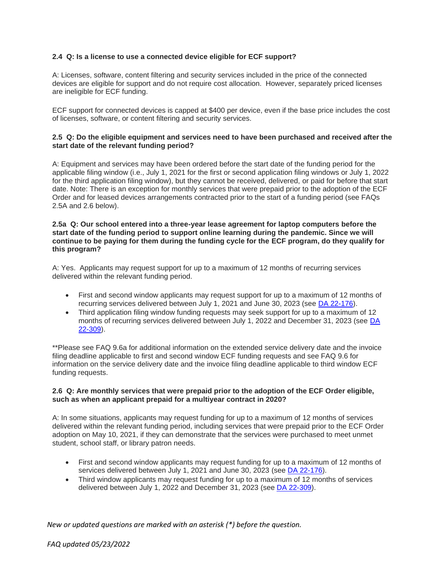# **2.4 Q: Is a license to use a connected device eligible for ECF support?**

A: Licenses, software, content filtering and security services included in the price of the connected devices are eligible for support and do not require cost allocation. However, separately priced licenses are ineligible for ECF funding.

ECF support for connected devices is capped at \$400 per device, even if the base price includes the cost of licenses, software, or content filtering and security services.

# **2.5 Q: Do the eligible equipment and services need to have been purchased and received after the start date of the relevant funding period?**

A: Equipment and services may have been ordered before the start date of the funding period for the applicable filing window (i.e., July 1, 2021 for the first or second application filing windows or July 1, 2022 for the third application filing window), but they cannot be received, delivered, or paid for before that start date. Note: There is an exception for monthly services that were prepaid prior to the adoption of the ECF Order and for leased devices arrangements contracted prior to the start of a funding period (see FAQs 2.5A and 2.6 below).

#### **2.5a Q: Our school entered into a three-year lease agreement for laptop computers before the start date of the funding period to support online learning during the pandemic. Since we will continue to be paying for them during the funding cycle for the ECF program, do they qualify for this program?**

A: Yes. Applicants may request support for up to a maximum of 12 months of recurring services delivered within the relevant funding period.

- First and second window applicants may request support for up to a maximum of 12 months of recurring services delivered between July 1, 2021 and June 30, 2023 (see [DA 22-176\)](https://www.fcc.gov/document/wcb-extends-ecf-service-delivery-date-june-30-2023).
- Third application filing window funding requests may seek support for up to a maximum of 12 months of recurring services delivered between July 1, 2022 and December 31, 2023 (see [DA](https://www.fcc.gov/document/fcc-announces-third-ecf-application-window)  [22-309\)](https://www.fcc.gov/document/fcc-announces-third-ecf-application-window).

\*\*Please see FAQ 9.6a for additional information on the extended service delivery date and the invoice filing deadline applicable to first and second window ECF funding requests and see FAQ 9.6 for information on the service delivery date and the invoice filing deadline applicable to third window ECF funding requests.

#### **2.6 Q: Are monthly services that were prepaid prior to the adoption of the ECF Order eligible, such as when an applicant prepaid for a multiyear contract in 2020?**

A: In some situations, applicants may request funding for up to a maximum of 12 months of services delivered within the relevant funding period, including services that were prepaid prior to the ECF Order adoption on May 10, 2021, if they can demonstrate that the services were purchased to meet unmet student, school staff, or library patron needs.

- First and second window applicants may request funding for up to a maximum of 12 months of services delivered between July 1, 2021 and June 30, 2023 (see [DA 22-176\)](https://www.fcc.gov/document/wcb-extends-ecf-service-delivery-date-june-30-2023).
- Third window applicants may request funding for up to a maximum of 12 months of services delivered between July 1, 2022 and December 31, 2023 (see [DA 22-309\)](https://www.fcc.gov/document/fcc-announces-third-ecf-application-window).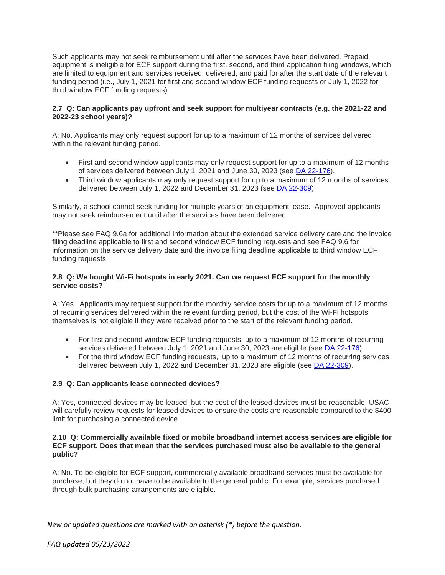Such applicants may not seek reimbursement until after the services have been delivered. Prepaid equipment is ineligible for ECF support during the first, second, and third application filing windows, which are limited to equipment and services received, delivered, and paid for after the start date of the relevant funding period (i.e., July 1, 2021 for first and second window ECF funding requests or July 1, 2022 for third window ECF funding requests).

# **2.7 Q: Can applicants pay upfront and seek support for multiyear contracts (e.g. the 2021-22 and 2022-23 school years)?**

A: No. Applicants may only request support for up to a maximum of 12 months of services delivered within the relevant funding period.

- First and second window applicants may only request support for up to a maximum of 12 months of services delivered between July 1, 2021 and June 30, 2023 (see [DA 22-176\)](https://www.fcc.gov/document/wcb-extends-ecf-service-delivery-date-june-30-2023).
- Third window applicants may only request support for up to a maximum of 12 months of services delivered between July 1, 2022 and December 31, 2023 (see [DA 22-309\)](https://www.fcc.gov/document/fcc-announces-third-ecf-application-window).

Similarly, a school cannot seek funding for multiple years of an equipment lease. Approved applicants may not seek reimbursement until after the services have been delivered.

\*\*Please see FAQ 9.6a for additional information about the extended service delivery date and the invoice filing deadline applicable to first and second window ECF funding requests and see FAQ 9.6 for information on the service delivery date and the invoice filing deadline applicable to third window ECF funding requests.

# **2.8 Q: We bought Wi-Fi hotspots in early 2021. Can we request ECF support for the monthly service costs?**

A: Yes. Applicants may request support for the monthly service costs for up to a maximum of 12 months of recurring services delivered within the relevant funding period, but the cost of the Wi-Fi hotspots themselves is not eligible if they were received prior to the start of the relevant funding period.

- For first and second window ECF funding requests, up to a maximum of 12 months of recurring services delivered between July 1, 2021 and June 30, 2023 are eligible (see [DA 22-176\)](https://www.fcc.gov/document/wcb-extends-ecf-service-delivery-date-june-30-2023).
- For the third window ECF funding requests, up to a maximum of 12 months of recurring services delivered between July 1, 2022 and December 31, 2023 are eligible (see [DA 22-309\)](https://www.fcc.gov/document/fcc-announces-third-ecf-application-window).

# **2.9 Q: Can applicants lease connected devices?**

A: Yes, connected devices may be leased, but the cost of the leased devices must be reasonable. USAC will carefully review requests for leased devices to ensure the costs are reasonable compared to the \$400 limit for purchasing a connected device.

#### **2.10 Q: Commercially available fixed or mobile broadband internet access services are eligible for ECF support. Does that mean that the services purchased must also be available to the general public?**

A: No. To be eligible for ECF support, commercially available broadband services must be available for purchase, but they do not have to be available to the general public. For example, services purchased through bulk purchasing arrangements are eligible.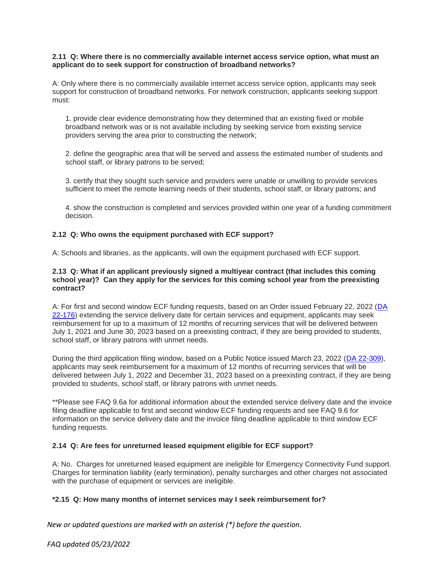#### **2.11 Q: Where there is no commercially available internet access service option, what must an applicant do to seek support for construction of broadband networks?**

A: Only where there is no commercially available internet access service option, applicants may seek support for construction of broadband networks. For network construction, applicants seeking support must:

1. provide clear evidence demonstrating how they determined that an existing fixed or mobile broadband network was or is not available including by seeking service from existing service providers serving the area prior to constructing the network;

2. define the geographic area that will be served and assess the estimated number of students and school staff, or library patrons to be served;

3. certify that they sought such service and providers were unable or unwilling to provide services sufficient to meet the remote learning needs of their students, school staff, or library patrons; and

4. show the construction is completed and services provided within one year of a funding commitment decision.

#### **2.12 Q: Who owns the equipment purchased with ECF support?**

A: Schools and libraries, as the applicants, will own the equipment purchased with ECF support.

#### **2.13 Q: What if an applicant previously signed a multiyear contract (that includes this coming school year)? Can they apply for the services for this coming school year from the preexisting contract?**

A: For first and second window ECF funding requests, based on an Order issued February 22, 2022 [\(DA](https://www.fcc.gov/document/wcb-extends-ecf-service-delivery-date-june-30-2023)  [22-176\)](https://www.fcc.gov/document/wcb-extends-ecf-service-delivery-date-june-30-2023) extending the service delivery date for certain services and equipment, applicants may seek reimbursement for up to a maximum of 12 months of recurring services that will be delivered between July 1, 2021 and June 30, 2023 based on a preexisting contract, if they are being provided to students, school staff, or library patrons with unmet needs.

During the third application filing window, based on a Public Notice issued March 23, 2022 [\(DA 22-309\)](https://www.fcc.gov/document/fcc-announces-third-ecf-application-window), applicants may seek reimbursement for a maximum of 12 months of recurring services that will be delivered between July 1, 2022 and December 31, 2023 based on a preexisting contract, if they are being provided to students, school staff, or library patrons with unmet needs.

\*\*Please see FAQ 9.6a for additional information about the extended service delivery date and the invoice filing deadline applicable to first and second window ECF funding requests and see FAQ 9.6 for information on the service delivery date and the invoice filing deadline applicable to third window ECF funding requests.

#### **2.14 Q: Are fees for unreturned leased equipment eligible for ECF support?**

A: No. Charges for unreturned leased equipment are ineligible for Emergency Connectivity Fund support. Charges for termination liability (early termination), penalty surcharges and other charges not associated with the purchase of equipment or services are ineligible.

#### **\*2.15 Q: How many months of internet services may I seek reimbursement for?**

*New or updated questions are marked with an asterisk (\*) before the question.*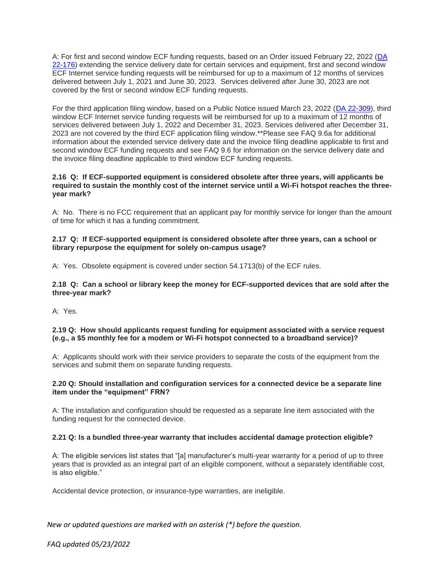A: For first and second window ECF funding requests, based on an Order issued February 22, 2022 [\(DA](https://www.fcc.gov/document/wcb-extends-ecf-service-delivery-date-june-30-2023)  [22-176\)](https://www.fcc.gov/document/wcb-extends-ecf-service-delivery-date-june-30-2023) extending the service delivery date for certain services and equipment, first and second window ECF Internet service funding requests will be reimbursed for up to a maximum of 12 months of services delivered between July 1, 2021 and June 30, 2023. Services delivered after June 30, 2023 are not covered by the first or second window ECF funding requests.

For the third application filing window, based on a Public Notice issued March 23, 2022 [\(DA 22-309\)](https://www.fcc.gov/document/fcc-announces-third-ecf-application-window), third window ECF Internet service funding requests will be reimbursed for up to a maximum of 12 months of services delivered between July 1, 2022 and December 31, 2023. Services delivered after December 31, 2023 are not covered by the third ECF application filing window.\*\*Please see FAQ 9.6a for additional information about the extended service delivery date and the invoice filing deadline applicable to first and second window ECF funding requests and see FAQ 9.6 for information on the service delivery date and the invoice filing deadline applicable to third window ECF funding requests.

#### **2.16 Q: If ECF-supported equipment is considered obsolete after three years, will applicants be required to sustain the monthly cost of the internet service until a Wi-Fi hotspot reaches the threeyear mark?**

A: No. There is no FCC requirement that an applicant pay for monthly service for longer than the amount of time for which it has a funding commitment.

# **2.17 Q: If ECF-supported equipment is considered obsolete after three years, can a school or library repurpose the equipment for solely on-campus usage?**

A: Yes. Obsolete equipment is covered under section 54.1713(b) of the ECF rules.

#### **2.18 Q: Can a school or library keep the money for ECF-supported devices that are sold after the three-year mark?**

A: Yes.

# **2.19 Q: How should applicants request funding for equipment associated with a service request (e.g., a \$5 monthly fee for a modem or Wi-Fi hotspot connected to a broadband service)?**

A: Applicants should work with their service providers to separate the costs of the equipment from the services and submit them on separate funding requests.

# **2.20 Q: Should installation and configuration services for a connected device be a separate line item under the "equipment" FRN?**

A: The installation and configuration should be requested as a separate line item associated with the funding request for the connected device.

# **2.21 Q: Is a bundled three-year warranty that includes accidental damage protection eligible?**

A: The eligible services list states that "[a] manufacturer's multi-year warranty for a period of up to three years that is provided as an integral part of an eligible component, without a separately identifiable cost, is also eligible."

Accidental device protection, or insurance-type warranties, are ineligible.

# *New or updated questions are marked with an asterisk (\*) before the question.*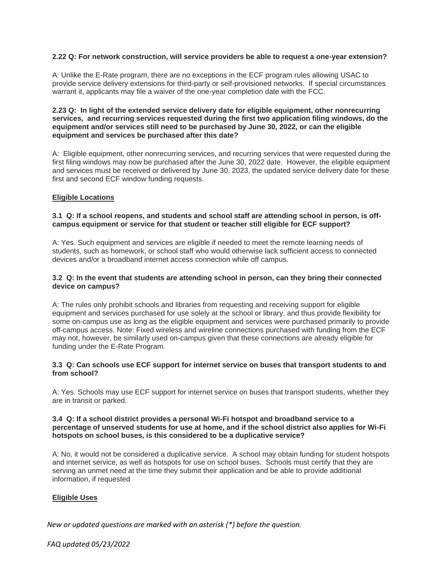## **2.22 Q: For network construction, will service providers be able to request a one-year extension?**

A: Unlike the E-Rate program, there are no exceptions in the ECF program rules allowing USAC to provide service delivery extensions for third-party or self-provisioned networks. If special circumstances warrant it, applicants may file a waiver of the one-year completion date with the FCC.

# **2.23 Q: In light of the extended service delivery date for eligible equipment, other nonrecurring services, and recurring services requested during the first two application filing windows, do the equipment and/or services still need to be purchased by June 30, 2022, or can the eligible equipment and services be purchased after this date?**

A: Eligible equipment, other nonrecurring services, and recurring services that were requested during the first filing windows may now be purchased after the June 30, 2022 date. However, the eligible equipment and services must be received or delivered by June 30, 2023, the updated service delivery date for these first and second ECF window funding requests.

#### **Eligible Locations**

# **3.1 Q: If a school reopens, and students and school staff are attending school in person, is offcampus equipment or service for that student or teacher still eligible for ECF support?**

A: Yes. Such equipment and services are eligible if needed to meet the remote learning needs of students, such as homework, or school staff who would otherwise lack sufficient access to connected devices and/or a broadband internet access connection while off campus.

#### **3.2 Q: In the event that students are attending school in person, can they bring their connected device on campus?**

A: The rules only prohibit schools and libraries from requesting and receiving support for eligible equipment and services purchased for use solely at the school or library, and thus provide flexibility for some on-campus use as long as the eligible equipment and services were purchased primarily to provide off-campus access. Note: Fixed wireless and wireline connections purchased with funding from the ECF may not, however, be similarly used on-campus given that these connections are already eligible for funding under the E-Rate Program.

#### **3.3 Q: Can schools use ECF support for internet service on buses that transport students to and from school?**

A: Yes. Schools may use ECF support for internet service on buses that transport students, whether they are in transit or parked.

#### **3.4 Q: If a school district provides a personal Wi-Fi hotspot and broadband service to a percentage of unserved students for use at home, and if the school district also applies for Wi-Fi hotspots on school buses, is this considered to be a duplicative service?**

A: No, it would not be considered a duplicative service. A school may obtain funding for student hotspots and internet service, as well as hotspots for use on school buses. Schools must certify that they are serving an unmet need at the time they submit their application and be able to provide additional information, if requested

#### **Eligible Uses**

*New or updated questions are marked with an asterisk (\*) before the question.*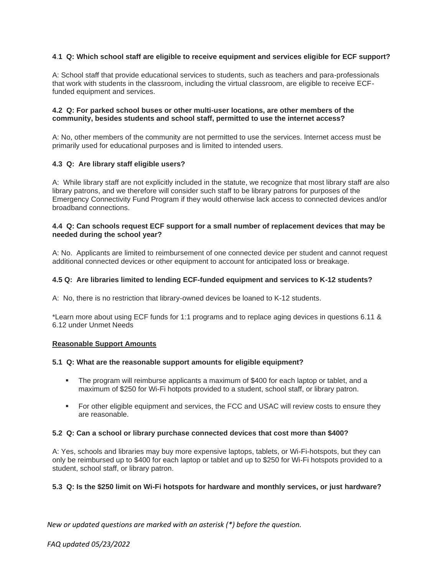# **4**.**1 Q: Which school staff are eligible to receive equipment and services eligible for ECF support?**

A: School staff that provide educational services to students, such as teachers and para-professionals that work with students in the classroom, including the virtual classroom, are eligible to receive ECFfunded equipment and services.

## **4.2 Q: For parked school buses or other multi-user locations, are other members of the community, besides students and school staff, permitted to use the internet access?**

A: No, other members of the community are not permitted to use the services. Internet access must be primarily used for educational purposes and is limited to intended users.

# **4.3 Q: Are library staff eligible users?**

A: While library staff are not explicitly included in the statute, we recognize that most library staff are also library patrons, and we therefore will consider such staff to be library patrons for purposes of the Emergency Connectivity Fund Program if they would otherwise lack access to connected devices and/or broadband connections.

#### **4.4 Q: Can schools request ECF support for a small number of replacement devices that may be needed during the school year?**

A: No. Applicants are limited to reimbursement of one connected device per student and cannot request additional connected devices or other equipment to account for anticipated loss or breakage.

# **4.5 Q: Are libraries limited to lending ECF-funded equipment and services to K-12 students?**

A: No, there is no restriction that library-owned devices be loaned to K-12 students.

\*Learn more about using ECF funds for 1:1 programs and to replace aging devices in questions 6.11 & 6.12 under Unmet Needs

#### **Reasonable Support Amounts**

#### **5.1 Q: What are the reasonable support amounts for eligible equipment?**

- The program will reimburse applicants a maximum of \$400 for each laptop or tablet, and a maximum of \$250 for Wi-Fi hotpots provided to a student, school staff, or library patron.
- **For other eligible equipment and services, the FCC and USAC will review costs to ensure they** are reasonable.

#### **5.2 Q: Can a school or library purchase connected devices that cost more than \$400?**

A: Yes, schools and libraries may buy more expensive laptops, tablets, or Wi-Fi-hotspots, but they can only be reimbursed up to \$400 for each laptop or tablet and up to \$250 for Wi-Fi hotspots provided to a student, school staff, or library patron.

# **5.3 Q: Is the \$250 limit on Wi-Fi hotspots for hardware and monthly services, or just hardware?**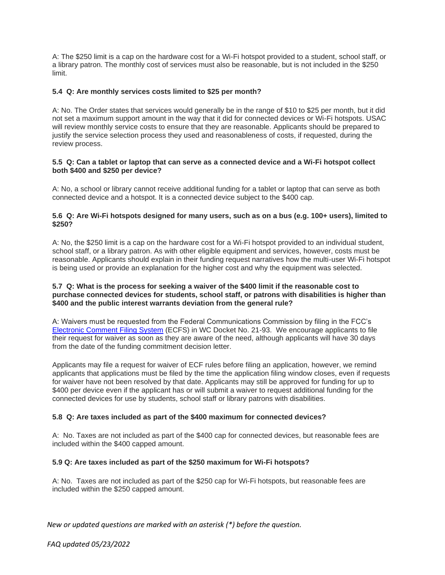A: The \$250 limit is a cap on the hardware cost for a Wi-Fi hotspot provided to a student, school staff, or a library patron. The monthly cost of services must also be reasonable, but is not included in the \$250 limit.

# **5.4 Q: Are monthly services costs limited to \$25 per month?**

A: No. The Order states that services would generally be in the range of \$10 to \$25 per month, but it did not set a maximum support amount in the way that it did for connected devices or Wi-Fi hotspots. USAC will review monthly service costs to ensure that they are reasonable. Applicants should be prepared to justify the service selection process they used and reasonableness of costs, if requested, during the review process.

# **5.5 Q: Can a tablet or laptop that can serve as a connected device and a Wi-Fi hotspot collect both \$400 and \$250 per device?**

A: No, a school or library cannot receive additional funding for a tablet or laptop that can serve as both connected device and a hotspot. It is a connected device subject to the \$400 cap.

# **5.6 Q: Are Wi-Fi hotspots designed for many users, such as on a bus (e.g. 100+ users), limited to \$250?**

A: No, the \$250 limit is a cap on the hardware cost for a Wi-Fi hotspot provided to an individual student, school staff, or a library patron. As with other eligible equipment and services, however, costs must be reasonable. Applicants should explain in their funding request narratives how the multi-user Wi-Fi hotspot is being used or provide an explanation for the higher cost and why the equipment was selected.

# **5.7 Q: What is the process for seeking a waiver of the \$400 limit if the reasonable cost to purchase connected devices for students, school staff, or patrons with disabilities is higher than \$400 and the public interest warrants deviation from the general rule?**

A: Waivers must be requested from the Federal Communications Commission by filing in the FCC's [Electronic Comment Filing System](https://www.fcc.gov/ecfs/filings) (ECFS) in WC Docket No. 21-93. We encourage applicants to file their request for waiver as soon as they are aware of the need, although applicants will have 30 days from the date of the funding commitment decision letter.

Applicants may file a request for waiver of ECF rules before filing an application, however, we remind applicants that applications must be filed by the time the application filing window closes, even if requests for waiver have not been resolved by that date. Applicants may still be approved for funding for up to \$400 per device even if the applicant has or will submit a waiver to request additional funding for the connected devices for use by students, school staff or library patrons with disabilities.

#### **5.8 Q: Are taxes included as part of the \$400 maximum for connected devices?**

A: No. Taxes are not included as part of the \$400 cap for connected devices, but reasonable fees are included within the \$400 capped amount.

#### **5.9 Q: Are taxes included as part of the \$250 maximum for Wi-Fi hotspots?**

A: No. Taxes are not included as part of the \$250 cap for Wi-Fi hotspots, but reasonable fees are included within the \$250 capped amount.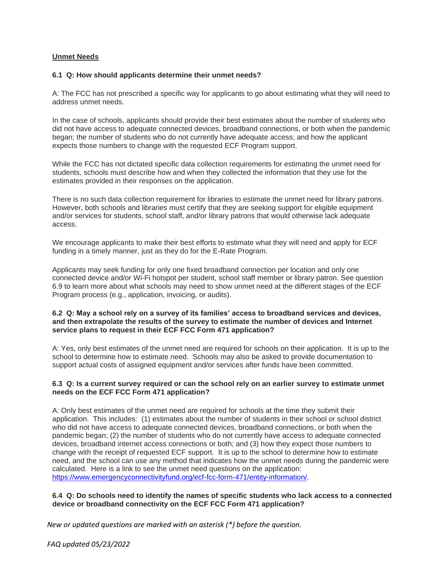# **Unmet Needs**

# **6.1 Q: How should applicants determine their unmet needs?**

A: The FCC has not prescribed a specific way for applicants to go about estimating what they will need to address unmet needs.

In the case of schools, applicants should provide their best estimates about the number of students who did not have access to adequate connected devices, broadband connections, or both when the pandemic began; the number of students who do not currently have adequate access; and how the applicant expects those numbers to change with the requested ECF Program support.

While the FCC has not dictated specific data collection requirements for estimating the unmet need for students, schools must describe how and when they collected the information that they use for the estimates provided in their responses on the application.

There is no such data collection requirement for libraries to estimate the unmet need for library patrons. However, both schools and libraries must certify that they are seeking support for eligible equipment and/or services for students, school staff, and/or library patrons that would otherwise lack adequate access.

We encourage applicants to make their best efforts to estimate what they will need and apply for ECF funding in a timely manner, just as they do for the E-Rate Program.

Applicants may seek funding for only one fixed broadband connection per location and only one connected device and/or Wi-Fi hotspot per student, school staff member or library patron. See question 6.9 to learn more about what schools may need to show unmet need at the different stages of the ECF Program process (e.g., application, invoicing, or audits).

#### **6.2 Q: May a school rely on a survey of its families' access to broadband services and devices, and then extrapolate the results of the survey to estimate the number of devices and Internet service plans to request in their ECF FCC Form 471 application?**

A: Yes, only best estimates of the unmet need are required for schools on their application. It is up to the school to determine how to estimate need. Schools may also be asked to provide documentation to support actual costs of assigned equipment and/or services after funds have been committed.

# **6.3 Q: Is a current survey required or can the school rely on an earlier survey to estimate unmet needs on the ECF FCC Form 471 application?**

A: Only best estimates of the unmet need are required for schools at the time they submit their application. This includes: (1) estimates about the number of students in their school or school district who did not have access to adequate connected devices, broadband connections, or both when the pandemic began; (2) the number of students who do not currently have access to adequate connected devices, broadband internet access connections or both; and (3) how they expect those numbers to change with the receipt of requested ECF support. It is up to the school to determine how to estimate need, and the school can use any method that indicates how the unmet needs during the pandemic were calculated. Here is a link to see the unmet need questions on the application: [https://www.emergencyconnectivityfund.org/ecf-fcc-form-471/entity-information/.](https://www.emergencyconnectivityfund.org/ecf-fcc-form-471/entity-information/)

# **6.4 Q: Do schools need to identify the names of specific students who lack access to a connected device or broadband connectivity on the ECF FCC Form 471 application?**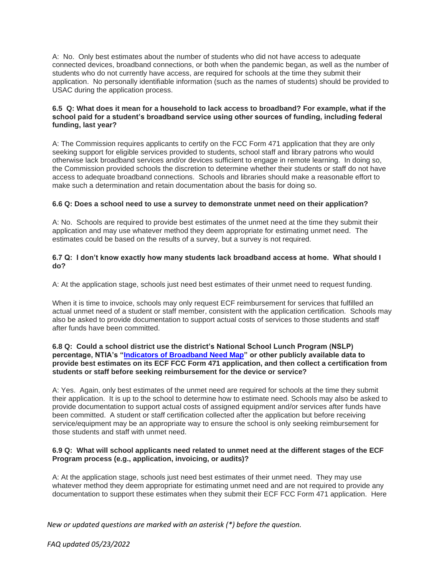A:No.Only best estimates about the number of students who did not have access to adequate connected devices, broadband connections, or both when the pandemic began, as well as the number of students who do not currently have access, are required for schools at the time they submit their application. No personally identifiable information (such as the names of students) should be provided to USAC during the application process.

# **6.5 Q: What does it mean for a household to lack access to broadband? For example, what if the school paid for a student's broadband service using other sources of funding, including federal funding, last year?**

A: The Commission requires applicants to certify on the FCC Form 471 application that they are only seeking support for eligible services provided to students, school staff and library patrons who would otherwise lack broadband services and/or devices sufficient to engage in remote learning. In doing so, the Commission provided schools the discretion to determine whether their students or staff do not have access to adequate broadband connections. Schools and libraries should make a reasonable effort to make such a determination and retain documentation about the basis for doing so.

# **6.6 Q: Does a school need to use a survey to demonstrate unmet need on their application?**

A: No. Schools are required to provide best estimates of the unmet need at the time they submit their application and may use whatever method they deem appropriate for estimating unmet need. The estimates could be based on the results of a survey, but a survey is not required.

#### **6.7 Q: I don't know exactly how many students lack broadband access at home. What should I do?**

A: At the application stage, schools just need best estimates of their unmet need to request funding.

When it is time to invoice, schools may only request ECF reimbursement for services that fulfilled an actual unmet need of a student or staff member, consistent with the application certification. Schools may also be asked to provide documentation to support actual costs of services to those students and staff after funds have been committed.

# **6.8 Q: Could a school district use the district's National School Lunch Program (NSLP) percentage, NTIA's ["Indicators of Broadband Need Map"](https://broadbandusa.ntia.doc.gov/resources/data-and-mapping) or other publicly available data to provide best estimates on its ECF FCC Form 471 application, and then collect a certification from students or staff before seeking reimbursement for the device or service?**

A: Yes. Again, only best estimates of the unmet need are required for schools at the time they submit their application. It is up to the school to determine how to estimate need. Schools may also be asked to provide documentation to support actual costs of assigned equipment and/or services after funds have been committed. A student or staff certification collected after the application but before receiving service/equipment may be an appropriate way to ensure the school is only seeking reimbursement for those students and staff with unmet need.

#### **6.9 Q: What will school applicants need related to unmet need at the different stages of the ECF Program process (e.g., application, invoicing, or audits)?**

A: At the application stage, schools just need best estimates of their unmet need. They may use whatever method they deem appropriate for estimating unmet need and are not required to provide any documentation to support these estimates when they submit their ECF FCC Form 471 application. Here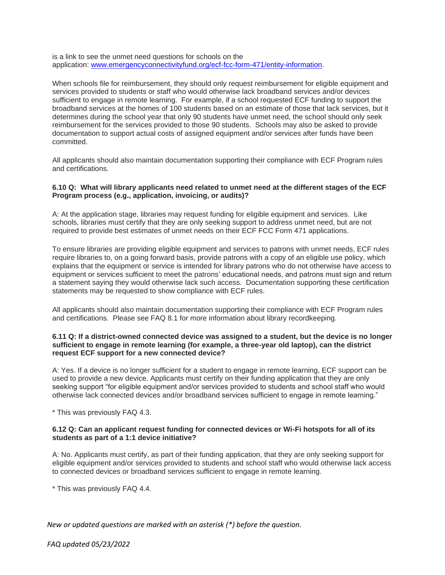is a link to see the unmet need questions for schools on the application: [www.emergencyconnectivityfund.org/ecf-fcc-form-471/entity-information.](https://www.emergencyconnectivityfund.org/ecf-fcc-form-471/entity-information/)

When schools file for reimbursement, they should only request reimbursement for eligible equipment and services provided to students or staff who would otherwise lack broadband services and/or devices sufficient to engage in remote learning. For example, if a school requested ECF funding to support the broadband services at the homes of 100 students based on an estimate of those that lack services, but it determines during the school year that only 90 students have unmet need, the school should only seek reimbursement for the services provided to those 90 students. Schools may also be asked to provide documentation to support actual costs of assigned equipment and/or services after funds have been committed.

All applicants should also maintain documentation supporting their compliance with ECF Program rules and certifications.

#### **6.10 Q: What will library applicants need related to unmet need at the different stages of the ECF Program process (e.g., application, invoicing, or audits)?**

A: At the application stage, libraries may request funding for eligible equipment and services. Like schools, libraries must certify that they are only seeking support to address unmet need, but are not required to provide best estimates of unmet needs on their ECF FCC Form 471 applications.

To ensure libraries are providing eligible equipment and services to patrons with unmet needs, ECF rules require libraries to, on a going forward basis, provide patrons with a copy of an eligible use policy, which explains that the equipment or service is intended for library patrons who do not otherwise have access to equipment or services sufficient to meet the patrons' educational needs, and patrons must sign and return a statement saying they would otherwise lack such access. Documentation supporting these certification statements may be requested to show compliance with ECF rules.

All applicants should also maintain documentation supporting their compliance with ECF Program rules and certifications. Please see FAQ 8.1 for more information about library recordkeeping.

#### **6.11 Q: If a district-owned connected device was assigned to a student, but the device is no longer sufficient to engage in remote learning (for example, a three-year old laptop), can the district request ECF support for a new connected device?**

A: Yes. If a device is no longer sufficient for a student to engage in remote learning, ECF support can be used to provide a new device. Applicants must certify on their funding application that they are only seeking support "for eligible equipment and/or services provided to students and school staff who would otherwise lack connected devices and/or broadband services sufficient to engage in remote learning."

\* This was previously FAQ 4.3.

#### **6.12 Q: Can an applicant request funding for connected devices or Wi-Fi hotspots for all of its students as part of a 1:1 device initiative?**

A: No. Applicants must certify, as part of their funding application, that they are only seeking support for eligible equipment and/or services provided to students and school staff who would otherwise lack access to connected devices or broadband services sufficient to engage in remote learning.

\* This was previously FAQ 4.4.

*New or updated questions are marked with an asterisk (\*) before the question.*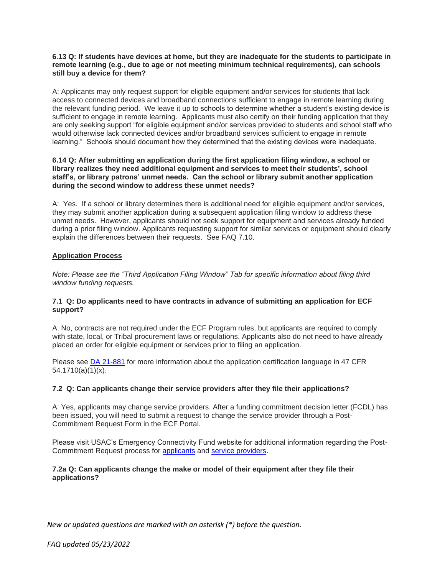## **6.13 Q: If students have devices at home, but they are inadequate for the students to participate in remote learning (e.g., due to age or not meeting minimum technical requirements), can schools still buy a device for them?**

A: Applicants may only request support for eligible equipment and/or services for students that lack access to connected devices and broadband connections sufficient to engage in remote learning during the relevant funding period. We leave it up to schools to determine whether a student's existing device is sufficient to engage in remote learning. Applicants must also certify on their funding application that they are only seeking support "for eligible equipment and/or services provided to students and school staff who would otherwise lack connected devices and/or broadband services sufficient to engage in remote learning." Schools should document how they determined that the existing devices were inadequate.

## **6.14 Q: After submitting an application during the first application filing window, a school or library realizes they need additional equipment and services to meet their students', school staff's, or library patrons' unmet needs. Can the school or library submit another application during the second window to address these unmet needs?**

A: Yes. If a school or library determines there is additional need for eligible equipment and/or services, they may submit another application during a subsequent application filing window to address these unmet needs. However, applicants should not seek support for equipment and services already funded during a prior filing window. Applicants requesting support for similar services or equipment should clearly explain the differences between their requests. See FAQ 7.10.

# **Application Process**

*Note: Please see the "Third Application Filing Window" Tab for specific information about filing third window funding requests.*

# **7.1 Q: Do applicants need to have contracts in advance of submitting an application for ECF support?**

A: No, contracts are not required under the ECF Program rules, but applicants are required to comply with state, local, or Tribal procurement laws or regulations. Applicants also do not need to have already placed an order for eligible equipment or services prior to filing an application.

Please see [DA 21-881](https://www.fcc.gov/document/emergency-connectivity-fund-service-delivery-deadline-public-notice) for more information about the application certification language in 47 CFR 54.1710(a)(1)(x).

#### **7.2 Q: Can applicants change their service providers after they file their applications?**

A: Yes, applicants may change service providers. After a funding commitment decision letter (FCDL) has been issued, you will need to submit a request to change the service provider through a Post-Commitment Request Form in the ECF Portal.

Please visit USAC's Emergency Connectivity Fund website for additional information regarding the Post-Commitment Request process for [applicants](https://www.emergencyconnectivityfund.org/ecf-post-commitment-request-form/) and [service providers.](https://www.emergencyconnectivityfund.org/ecf-post-commitment-request-form-service-providers/)

# **7.2a Q: Can applicants change the make or model of their equipment after they file their applications?**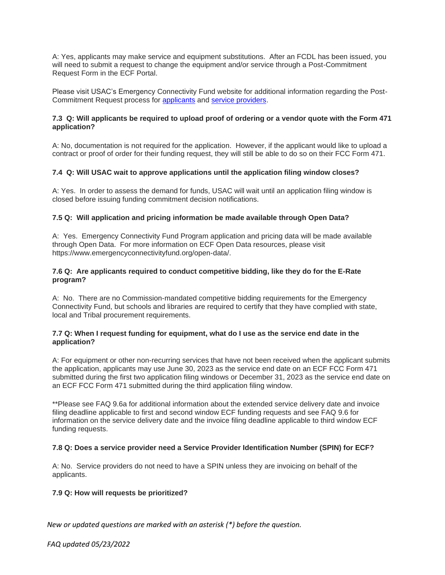A: Yes, applicants may make service and equipment substitutions. After an FCDL has been issued, you will need to submit a request to change the equipment and/or service through a Post-Commitment Request Form in the ECF Portal.

Please visit USAC's Emergency Connectivity Fund website for additional information regarding the Post-Commitment Request process for [applicants](https://www.emergencyconnectivityfund.org/ecf-post-commitment-request-form/) and [service providers.](https://www.emergencyconnectivityfund.org/ecf-post-commitment-request-form-service-providers/)

# **7.3 Q: Will applicants be required to upload proof of ordering or a vendor quote with the Form 471 application?**

A: No, documentation is not required for the application. However, if the applicant would like to upload a contract or proof of order for their funding request, they will still be able to do so on their FCC Form 471.

# **7.4 Q: Will USAC wait to approve applications until the application filing window closes?**

A: Yes. In order to assess the demand for funds, USAC will wait until an application filing window is closed before issuing funding commitment decision notifications.

#### **7.5 Q: Will application and pricing information be made available through Open Data?**

A: Yes. Emergency Connectivity Fund Program application and pricing data will be made available through Open Data. For more information on ECF Open Data resources, please visit https://www.emergencyconnectivityfund.org/open-data/.

#### **7.6 Q: Are applicants required to conduct competitive bidding, like they do for the E-Rate program?**

A: No. There are no Commission-mandated competitive bidding requirements for the Emergency Connectivity Fund, but schools and libraries are required to certify that they have complied with state, local and Tribal procurement requirements.

# **7.7 Q: When I request funding for equipment, what do I use as the service end date in the application?**

A: For equipment or other non-recurring services that have not been received when the applicant submits the application, applicants may use June 30, 2023 as the service end date on an ECF FCC Form 471 submitted during the first two application filing windows or December 31, 2023 as the service end date on an ECF FCC Form 471 submitted during the third application filing window.

\*\*Please see FAQ 9.6a for additional information about the extended service delivery date and invoice filing deadline applicable to first and second window ECF funding requests and see FAQ 9.6 for information on the service delivery date and the invoice filing deadline applicable to third window ECF funding requests.

#### **7.8 Q: Does a service provider need a Service Provider Identification Number (SPIN) for ECF?**

A: No. Service providers do not need to have a SPIN unless they are invoicing on behalf of the applicants.

#### **7.9 Q: How will requests be prioritized?**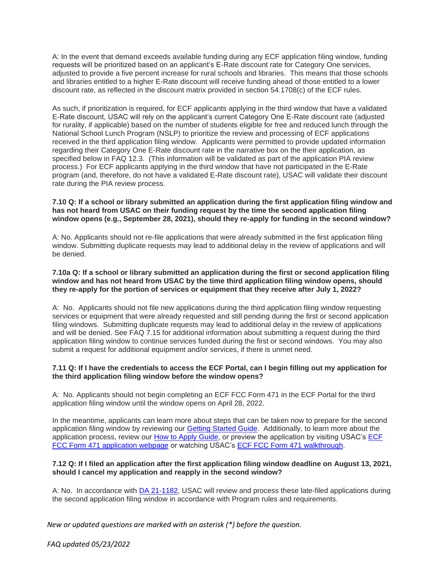A: In the event that demand exceeds available funding during any ECF application filing window, funding requests will be prioritized based on an applicant's E-Rate discount rate for Category One services, adjusted to provide a five percent increase for rural schools and libraries. This means that those schools and libraries entitled to a higher E-Rate discount will receive funding ahead of those entitled to a lower discount rate, as reflected in the discount matrix provided in section 54.1708(c) of the ECF rules.

As such, if prioritization is required, for ECF applicants applying in the third window that have a validated E-Rate discount, USAC will rely on the applicant's current Category One E-Rate discount rate (adjusted for rurality, if applicable) based on the number of students eligible for free and reduced lunch through the National School Lunch Program (NSLP) to prioritize the review and processing of ECF applications received in the third application filing window. Applicants were permitted to provide updated information regarding their Category One E-Rate discount rate in the narrative box on the their application, as specified below in FAQ 12.3. (This information will be validated as part of the application PIA review process.) For ECF applicants applying in the third window that have not participated in the E-Rate program (and, therefore, do not have a validated E-Rate discount rate), USAC will validate their discount rate during the PIA review process.

# **7.10 Q: If a school or library submitted an application during the first application filing window and has not heard from USAC on their funding request by the time the second application filing window opens (e.g., September 28, 2021), should they re-apply for funding in the second window?**

A: No. Applicants should not re-file applications that were already submitted in the first application filing window. Submitting duplicate requests may lead to additional delay in the review of applications and will be denied.

# **7.10a Q: If a school or library submitted an application during the first or second application filing window and has not heard from USAC by the time third application filing window opens, should they re-apply for the portion of services or equipment that they receive after July 1, 2022?**

A: No. Applicants should not file new applications during the third application filing window requesting services or equipment that were already requested and still pending during the first or second application filing windows. Submitting duplicate requests may lead to additional delay in the review of applications and will be denied. See FAQ 7.15 for additional information about submitting a request during the third application filing window to continue services funded during the first or second windows. You may also submit a request for additional equipment and/or services, if there is unmet need.

#### **7.11 Q: If I have the credentials to access the ECF Portal, can I begin filling out my application for the third application filing window before the window opens?**

A: No. Applicants should not begin completing an ECF FCC Form 471 in the ECF Portal for the third application filing window until the window opens on April 28, 2022.

In the meantime, applicants can learn more about steps that can be taken now to prepare for the second application filing window by reviewing our [Getting Started Guide.](https://www.fcc.gov/sites/default/files/how_to_best_prepare_for_the_emergency_connectivity_fund_application_filing_window.pdf) Additionally, to learn more about the application process, review our [How to Apply Guide,](https://www.fcc.gov/sites/default/files/ecf_how_to_apply_overview_guide.pdf) or preview the application by visiting USAC's [ECF](https://www.emergencyconnectivityfund.org/about-the-form/)  [FCC Form 471 application webpage](https://www.emergencyconnectivityfund.org/about-the-form/) or watching USAC's [ECF FCC Form 471 walkthrough.](https://www.emergencyconnectivityfund.org/video/ecf-fcc-form-471/story.html)

# **7.12 Q: If I filed an application after the first application filing window deadline on August 13, 2021, should I cancel my application and reapply in the second window?**

A: No. In accordance with [DA 21-1182,](https://www.fcc.gov/document/fcc-moves-late-filed-ecf-applications-second-filing-window) USAC will review and process these late-filed applications during the second application filing window in accordance with Program rules and requirements.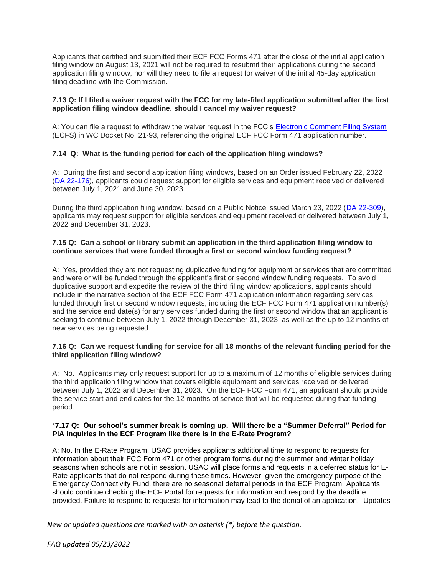Applicants that certified and submitted their ECF FCC Forms 471 after the close of the initial application filing window on August 13, 2021 will not be required to resubmit their applications during the second application filing window, nor will they need to file a request for waiver of the initial 45-day application filing deadline with the Commission.

## **7.13 Q: If I filed a waiver request with the FCC for my late-filed application submitted after the first application filing window deadline, should I cancel my waiver request?**

A: You can file a request to withdraw the waiver request in the FCC's [Electronic Comment Filing System](https://www.fcc.gov/ecfs/filings) (ECFS) in WC Docket No. 21-93, referencing the original ECF FCC Form 471 application number.

# **7.14 Q: What is the funding period for each of the application filing windows?**

A: During the first and second application filing windows, based on an Order issued February 22, 2022 [\(DA 22-176\)](https://www.fcc.gov/document/wcb-extends-ecf-service-delivery-date-june-30-2023), applicants could request support for eligible services and equipment received or delivered between July 1, 2021 and June 30, 2023.

During the third application filing window, based on a Public Notice issued March 23, 2022 [\(DA 22-309\)](https://www.fcc.gov/document/fcc-announces-third-ecf-application-window), applicants may request support for eligible services and equipment received or delivered between July 1, 2022 and December 31, 2023.

# **7.15 Q: Can a school or library submit an application in the third application filing window to continue services that were funded through a first or second window funding request?**

A: Yes, provided they are not requesting duplicative funding for equipment or services that are committed and were or will be funded through the applicant's first or second window funding requests. To avoid duplicative support and expedite the review of the third filing window applications, applicants should include in the narrative section of the ECF FCC Form 471 application information regarding services funded through first or second window requests, including the ECF FCC Form 471 application number(s) and the service end date(s) for any services funded during the first or second window that an applicant is seeking to continue between July 1, 2022 through December 31, 2023, as well as the up to 12 months of new services being requested.

#### **7.16 Q: Can we request funding for service for all 18 months of the relevant funding period for the third application filing window?**

A: No. Applicants may only request support for up to a maximum of 12 months of eligible services during the third application filing window that covers eligible equipment and services received or delivered between July 1, 2022 and December 31, 2023. On the ECF FCC Form 471, an applicant should provide the service start and end dates for the 12 months of service that will be requested during that funding period.

#### \***7.17 Q: Our school's summer break is coming up. Will there be a "Summer Deferral" Period for PIA inquiries in the ECF Program like there is in the E-Rate Program?**

A: No. In the E-Rate Program, USAC provides applicants additional time to respond to requests for information about their FCC Form 471 or other program forms during the summer and winter holiday seasons when schools are not in session. USAC will place forms and requests in a deferred status for E-Rate applicants that do not respond during these times. However, given the emergency purpose of the Emergency Connectivity Fund, there are no seasonal deferral periods in the ECF Program. Applicants should continue checking the ECF Portal for requests for information and respond by the deadline provided. Failure to respond to requests for information may lead to the denial of an application. Updates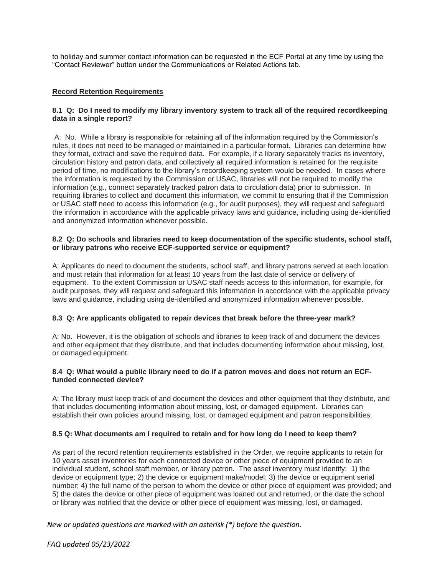to holiday and summer contact information can be requested in the ECF Portal at any time by using the "Contact Reviewer" button under the Communications or Related Actions tab.

# **Record Retention Requirements**

# **8.1 Q: Do I need to modify my library inventory system to track all of the required recordkeeping data in a single report?**

A: No. While a library is responsible for retaining all of the information required by the Commission's rules, it does not need to be managed or maintained in a particular format. Libraries can determine how they format, extract and save the required data. For example, if a library separately tracks its inventory, circulation history and patron data, and collectively all required information is retained for the requisite period of time, no modifications to the library's recordkeeping system would be needed. In cases where the information is requested by the Commission or USAC, libraries will not be required to modify the information (e.g., connect separately tracked patron data to circulation data) prior to submission. In requiring libraries to collect and document this information, we commit to ensuring that if the Commission or USAC staff need to access this information (e.g., for audit purposes), they will request and safeguard the information in accordance with the applicable privacy laws and guidance, including using de-identified and anonymized information whenever possible.

#### **8.2 Q: Do schools and libraries need to keep documentation of the specific students, school staff, or library patrons who receive ECF-supported service or equipment?**

A: Applicants do need to document the students, school staff, and library patrons served at each location and must retain that information for at least 10 years from the last date of service or delivery of equipment. To the extent Commission or USAC staff needs access to this information, for example, for audit purposes, they will request and safeguard this information in accordance with the applicable privacy laws and guidance, including using de-identified and anonymized information whenever possible.

#### **8.3 Q: Are applicants obligated to repair devices that break before the three-year mark?**

A: No. However, it is the obligation of schools and libraries to keep track of and document the devices and other equipment that they distribute, and that includes documenting information about missing, lost, or damaged equipment.

#### **8.4 Q: What would a public library need to do if a patron moves and does not return an ECFfunded connected device?**

A: The library must keep track of and document the devices and other equipment that they distribute, and that includes documenting information about missing, lost, or damaged equipment. Libraries can establish their own policies around missing, lost, or damaged equipment and patron responsibilities.

#### **8.5 Q: What documents am I required to retain and for how long do I need to keep them?**

As part of the record retention requirements established in the Order, we require applicants to retain for 10 years asset inventories for each connected device or other piece of equipment provided to an individual student, school staff member, or library patron. The asset inventory must identify: 1) the device or equipment type; 2) the device or equipment make/model; 3) the device or equipment serial number; 4) the full name of the person to whom the device or other piece of equipment was provided; and 5) the dates the device or other piece of equipment was loaned out and returned, or the date the school or library was notified that the device or other piece of equipment was missing, lost, or damaged.

*New or updated questions are marked with an asterisk (\*) before the question.*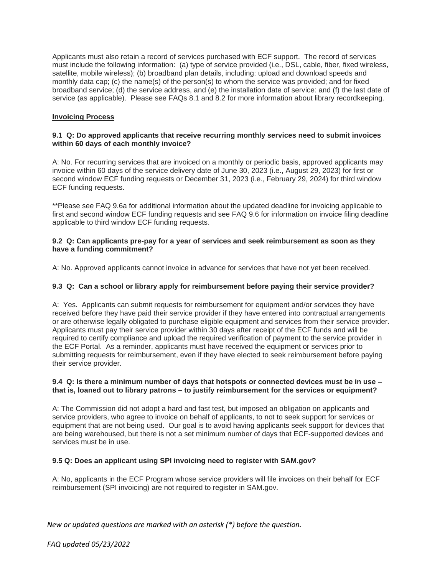Applicants must also retain a record of services purchased with ECF support. The record of services must include the following information: (a) type of service provided (i.e., DSL, cable, fiber, fixed wireless, satellite, mobile wireless); (b) broadband plan details, including: upload and download speeds and monthly data cap; (c) the name(s) of the person(s) to whom the service was provided; and for fixed broadband service; (d) the service address, and (e) the installation date of service: and (f) the last date of service (as applicable). Please see FAQs 8.1 and 8.2 for more information about library recordkeeping.

# **Invoicing Process**

# **9.1 Q: Do approved applicants that receive recurring monthly services need to submit invoices within 60 days of each monthly invoice?**

A: No. For recurring services that are invoiced on a monthly or periodic basis, approved applicants may invoice within 60 days of the service delivery date of June 30, 2023 (i.e., August 29, 2023) for first or second window ECF funding requests or December 31, 2023 (i.e., February 29, 2024) for third window ECF funding requests.

\*\*Please see FAQ 9.6a for additional information about the updated deadline for invoicing applicable to first and second window ECF funding requests and see FAQ 9.6 for information on invoice filing deadline applicable to third window ECF funding requests.

#### **9.2 Q: Can applicants pre-pay for a year of services and seek reimbursement as soon as they have a funding commitment?**

A: No. Approved applicants cannot invoice in advance for services that have not yet been received.

# **9.3 Q: Can a school or library apply for reimbursement before paying their service provider?**

A: Yes. Applicants can submit requests for reimbursement for equipment and/or services they have received before they have paid their service provider if they have entered into contractual arrangements or are otherwise legally obligated to purchase eligible equipment and services from their service provider. Applicants must pay their service provider within 30 days after receipt of the ECF funds and will be required to certify compliance and upload the required verification of payment to the service provider in the ECF Portal. As a reminder, applicants must have received the equipment or services prior to submitting requests for reimbursement, even if they have elected to seek reimbursement before paying their service provider.

#### **9.4 Q: Is there a minimum number of days that hotspots or connected devices must be in use – that is, loaned out to library patrons – to justify reimbursement for the services or equipment?**

A: The Commission did not adopt a hard and fast test, but imposed an obligation on applicants and service providers, who agree to invoice on behalf of applicants, to not to seek support for services or equipment that are not being used. Our goal is to avoid having applicants seek support for devices that are being warehoused, but there is not a set minimum number of days that ECF-supported devices and services must be in use.

#### **9.5 Q: Does an applicant using SPI invoicing need to register with SAM.gov?**

A: No, applicants in the ECF Program whose service providers will file invoices on their behalf for ECF reimbursement (SPI invoicing) are not required to register in SAM.gov.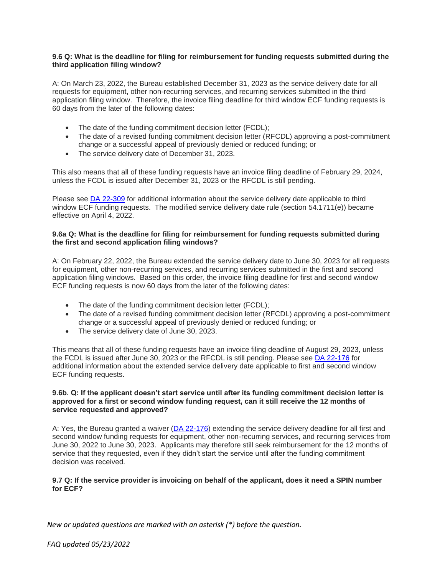#### **9.6 Q: What is the deadline for filing for reimbursement for funding requests submitted during the third application filing window?**

A: On March 23, 2022, the Bureau established December 31, 2023 as the service delivery date for all requests for equipment, other non-recurring services, and recurring services submitted in the third application filing window. Therefore, the invoice filing deadline for third window ECF funding requests is 60 days from the later of the following dates:

- The date of the funding commitment decision letter (FCDL);
- The date of a revised funding commitment decision letter (RFCDL) approving a post-commitment change or a successful appeal of previously denied or reduced funding; or
- The service delivery date of December 31, 2023.

This also means that all of these funding requests have an invoice filing deadline of February 29, 2024, unless the FCDL is issued after December 31, 2023 or the RFCDL is still pending.

Please see [DA 22-309](https://www.fcc.gov/document/fcc-announces-third-ecf-application-window) for additional information about the service delivery date applicable to third window ECF funding requests. The modified service delivery date rule (section 54.1711(e)) became effective on April 4, 2022.

# **9.6a Q: What is the deadline for filing for reimbursement for funding requests submitted during the first and second application filing windows?**

A: On February 22, 2022, the Bureau extended the service delivery date to June 30, 2023 for all requests for equipment, other non-recurring services, and recurring services submitted in the first and second application filing windows. Based on this order, the invoice filing deadline for first and second window ECF funding requests is now 60 days from the later of the following dates:

- The date of the funding commitment decision letter (FCDL):
- The date of a revised funding commitment decision letter (RFCDL) approving a post-commitment change or a successful appeal of previously denied or reduced funding; or
- The service delivery date of June 30, 2023.

This means that all of these funding requests have an invoice filing deadline of August 29, 2023, unless the FCDL is issued after June 30, 2023 or the RFCDL is still pending. Please see [DA 22-176](https://www.fcc.gov/document/wcb-extends-ecf-service-delivery-date-june-30-2023) for additional information about the extended service delivery date applicable to first and second window ECF funding requests.

#### **9.6b. Q: If the applicant doesn't start service until after its funding commitment decision letter is approved for a first or second window funding request, can it still receive the 12 months of service requested and approved?**

A: Yes, the Bureau granted a waiver [\(DA 22-176\)](https://www.fcc.gov/document/wcb-extends-ecf-service-delivery-date-june-30-2023) extending the service delivery deadline for all first and second window funding requests for equipment, other non-recurring services, and recurring services from June 30, 2022 to June 30, 2023. Applicants may therefore still seek reimbursement for the 12 months of service that they requested, even if they didn't start the service until after the funding commitment decision was received.

#### **9.7 Q: If the service provider is invoicing on behalf of the applicant, does it need a SPIN number for ECF?**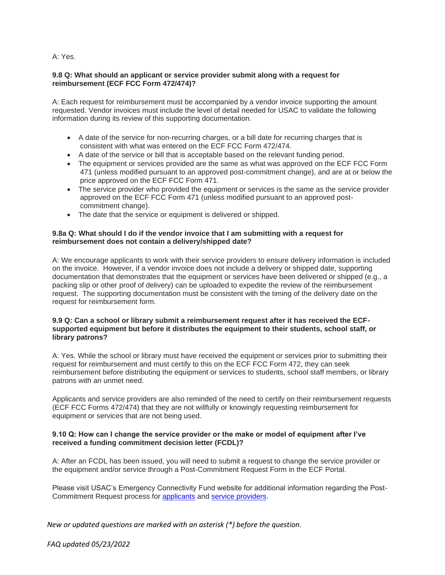# A: Yes.

## **9.8 Q: What should an applicant or service provider submit along with a request for reimbursement (ECF FCC Form 472/474)?**

A: Each request for reimbursement must be accompanied by a vendor invoice supporting the amount requested. Vendor invoices must include the level of detail needed for USAC to validate the following information during its review of this supporting documentation.

- A date of the service for non-recurring charges, or a bill date for recurring charges that is consistent with what was entered on the ECF FCC Form 472/474.
- A date of the service or bill that is acceptable based on the relevant funding period.
- The equipment or services provided are the same as what was approved on the ECF FCC Form 471 (unless modified pursuant to an approved post-commitment change), and are at or below the price approved on the ECF FCC Form 471.
- The service provider who provided the equipment or services is the same as the service provider approved on the ECF FCC Form 471 (unless modified pursuant to an approved postcommitment change).
- The date that the service or equipment is delivered or shipped.

#### **9.8a Q: What should I do if the vendor invoice that I am submitting with a request for reimbursement does not contain a delivery/shipped date?**

A: We encourage applicants to work with their service providers to ensure delivery information is included on the invoice. However, if a vendor invoice does not include a delivery or shipped date, supporting documentation that demonstrates that the equipment or services have been delivered or shipped (e.g., a packing slip or other proof of delivery) can be uploaded to expedite the review of the reimbursement request. The supporting documentation must be consistent with the timing of the delivery date on the request for reimbursement form.

#### **9.9 Q: Can a school or library submit a reimbursement request after it has received the ECFsupported equipment but before it distributes the equipment to their students, school staff, or library patrons?**

A: Yes. While the school or library must have received the equipment or services prior to submitting their request for reimbursement and must certify to this on the ECF FCC Form 472, they can seek reimbursement before distributing the equipment or services to students, school staff members, or library patrons with an unmet need.

Applicants and service providers are also reminded of the need to certify on their reimbursement requests (ECF FCC Forms 472/474) that they are not willfully or knowingly requesting reimbursement for equipment or services that are not being used.

# **9.10 Q: How can I change the service provider or the make or model of equipment after I've received a funding commitment decision letter (FCDL)?**

A: After an FCDL has been issued, you will need to submit a request to change the service provider or the equipment and/or service through a Post-Commitment Request Form in the ECF Portal.

Please visit USAC's Emergency Connectivity Fund website for additional information regarding the Post-Commitment Request process for [applicants](https://www.emergencyconnectivityfund.org/ecf-post-commitment-request-form/) and [service providers.](https://www.emergencyconnectivityfund.org/ecf-post-commitment-request-form-service-providers/)

*New or updated questions are marked with an asterisk (\*) before the question.*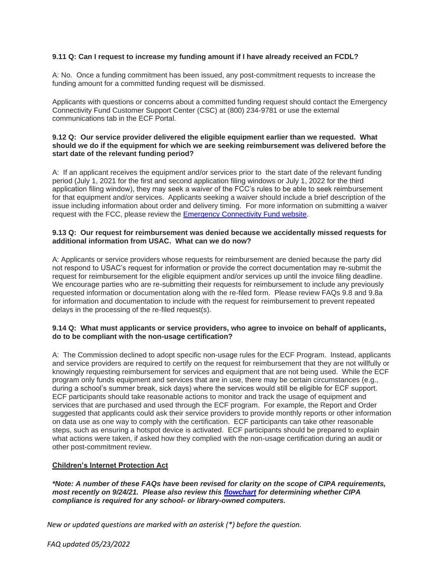# **9.11 Q: Can I request to increase my funding amount if I have already received an FCDL?**

A: No. Once a funding commitment has been issued, any post-commitment requests to increase the funding amount for a committed funding request will be dismissed.

Applicants with questions or concerns about a committed funding request should contact the Emergency Connectivity Fund Customer Support Center (CSC) at (800) 234-9781 or use the external communications tab in the ECF Portal.

#### **9.12 Q: Our service provider delivered the eligible equipment earlier than we requested. What should we do if the equipment for which we are seeking reimbursement was delivered before the start date of the relevant funding period?**

A: If an applicant receives the equipment and/or services prior to the start date of the relevant funding period (July 1, 2021 for the first and second application filing windows or July 1, 2022 for the third application filing window), they may seek a waiver of the FCC's rules to be able to seek reimbursement for that equipment and/or services. Applicants seeking a waiver should include a brief description of the issue including information about order and delivery timing. For more information on submitting a waiver request with the FCC, please review the [Emergency Connectivity Fund website.](https://www.emergencyconnectivityfund.org/file-an-appeal-or-waiver-with-the-fcc/)

#### **9.13 Q: Our request for reimbursement was denied because we accidentally missed requests for additional information from USAC. What can we do now?**

A: Applicants or service providers whose requests for reimbursement are denied because the party did not respond to USAC's request for information or provide the correct documentation may re-submit the request for reimbursement for the eligible equipment and/or services up until the invoice filing deadline. We encourage parties who are re-submitting their requests for reimbursement to include any previously requested information or documentation along with the re-filed form. Please review FAQs 9.8 and 9.8a for information and documentation to include with the request for reimbursement to prevent repeated delays in the processing of the re-filed request(s).

#### **9.14 Q: What must applicants or service providers, who agree to invoice on behalf of applicants, do to be compliant with the non-usage certification?**

A: The Commission declined to adopt specific non-usage rules for the ECF Program. Instead, applicants and service providers are required to certify on the request for reimbursement that they are not willfully or knowingly requesting reimbursement for services and equipment that are not being used. While the ECF program only funds equipment and services that are in use, there may be certain circumstances (e.g., during a school's summer break, sick days) where the services would still be eligible for ECF support. ECF participants should take reasonable actions to monitor and track the usage of equipment and services that are purchased and used through the ECF program. For example, the Report and Order suggested that applicants could ask their service providers to provide monthly reports or other information on data use as one way to comply with the certification. ECF participants can take other reasonable steps, such as ensuring a hotspot device is activated. ECF participants should be prepared to explain what actions were taken, if asked how they complied with the non-usage certification during an audit or other post-commitment review.

# **Children's Internet Protection Act**

*\*Note: A number of these FAQs have been revised for clarity on the scope of CIPA requirements, most recently on 9/24/21. Please also review this [flowchart](https://www.fcc.gov/sites/default/files/cipa_chart_2.jpg) for determining whether CIPA compliance is required for any school- or library-owned computers.*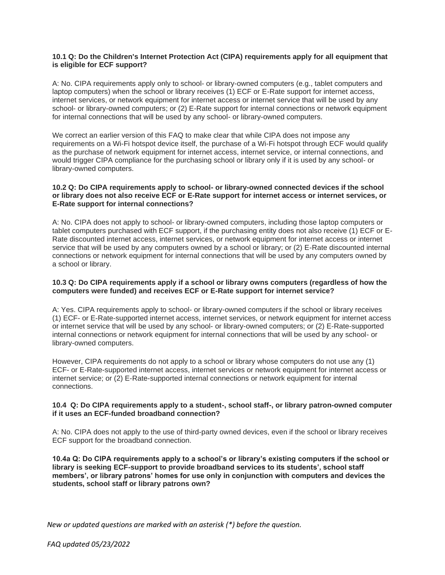#### **10.1 Q: Do the Children's Internet Protection Act (CIPA) requirements apply for all equipment that is eligible for ECF support?**

A: No. CIPA requirements apply only to school- or library-owned computers (e.g., tablet computers and laptop computers) when the school or library receives (1) ECF or E-Rate support for internet access, internet services, or network equipment for internet access or internet service that will be used by any school- or library-owned computers; or (2) E-Rate support for internal connections or network equipment for internal connections that will be used by any school- or library-owned computers.

We correct an earlier version of this FAQ to make clear that while CIPA does not impose any requirements on a Wi-Fi hotspot device itself, the purchase of a Wi-Fi hotspot through ECF would qualify as the purchase of network equipment for internet access, internet service, or internal connections, and would trigger CIPA compliance for the purchasing school or library only if it is used by any school- or library-owned computers.

## **10.2 Q: Do CIPA requirements apply to school- or library-owned connected devices if the school or library does not also receive ECF or E-Rate support for internet access or internet services, or E-Rate support for internal connections?**

A: No. CIPA does not apply to school- or library-owned computers, including those laptop computers or tablet computers purchased with ECF support, if the purchasing entity does not also receive (1) ECF or E-Rate discounted internet access, internet services, or network equipment for internet access or internet service that will be used by any computers owned by a school or library; or (2) E-Rate discounted internal connections or network equipment for internal connections that will be used by any computers owned by a school or library.

## **10.3 Q: Do CIPA requirements apply if a school or library owns computers (regardless of how the computers were funded) and receives ECF or E-Rate support for internet service?**

A: Yes. CIPA requirements apply to school- or library-owned computers if the school or library receives (1) ECF- or E-Rate-supported internet access, internet services, or network equipment for internet access or internet service that will be used by any school- or library-owned computers; or (2) E-Rate-supported internal connections or network equipment for internal connections that will be used by any school- or library-owned computers.

However, CIPA requirements do not apply to a school or library whose computers do not use any (1) ECF- or E-Rate-supported internet access, internet services or network equipment for internet access or internet service; or (2) E-Rate-supported internal connections or network equipment for internal connections.

#### **10.4 Q: Do CIPA requirements apply to a student-, school staff-, or library patron-owned computer if it uses an ECF-funded broadband connection?**

A: No. CIPA does not apply to the use of third-party owned devices, even if the school or library receives ECF support for the broadband connection.

**10.4a Q: Do CIPA requirements apply to a school's or library's existing computers if the school or library is seeking ECF-support to provide broadband services to its students', school staff members', or library patrons' homes for use only in conjunction with computers and devices the students, school staff or library patrons own?**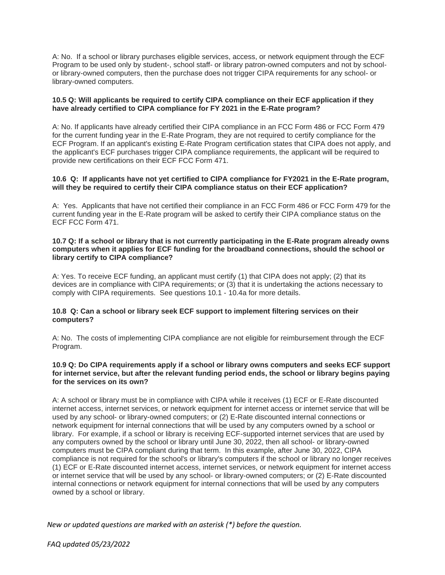A: No. If a school or library purchases eligible services, access, or network equipment through the ECF Program to be used only by student-, school staff- or library patron-owned computers and not by schoolor library-owned computers, then the purchase does not trigger CIPA requirements for any school- or library-owned computers.

# **10.5 Q: Will applicants be required to certify CIPA compliance on their ECF application if they have already certified to CIPA compliance for FY 2021 in the E-Rate program?**

A: No. If applicants have already certified their CIPA compliance in an FCC Form 486 or FCC Form 479 for the current funding year in the E-Rate Program, they are not required to certify compliance for the ECF Program. If an applicant's existing E-Rate Program certification states that CIPA does not apply, and the applicant's ECF purchases trigger CIPA compliance requirements, the applicant will be required to provide new certifications on their ECF FCC Form 471.

# **10.6 Q: If applicants have not yet certified to CIPA compliance for FY2021 in the E-Rate program, will they be required to certify their CIPA compliance status on their ECF application?**

A: Yes. Applicants that have not certified their compliance in an FCC Form 486 or FCC Form 479 for the current funding year in the E-Rate program will be asked to certify their CIPA compliance status on the ECF FCC Form 471.

#### **10.7 Q: If a school or library that is not currently participating in the E-Rate program already owns computers when it applies for ECF funding for the broadband connections, should the school or library certify to CIPA compliance?**

A: Yes. To receive ECF funding, an applicant must certify (1) that CIPA does not apply; (2) that its devices are in compliance with CIPA requirements; or (3) that it is undertaking the actions necessary to comply with CIPA requirements. See questions 10.1 - 10.4a for more details.

#### **10.8 Q: Can a school or library seek ECF support to implement filtering services on their computers?**

A: No. The costs of implementing CIPA compliance are not eligible for reimbursement through the ECF Program.

#### **10.9 Q: Do CIPA requirements apply if a school or library owns computers and seeks ECF support for internet service, but after the relevant funding period ends, the school or library begins paying for the services on its own?**

A: A school or library must be in compliance with CIPA while it receives (1) ECF or E-Rate discounted internet access, internet services, or network equipment for internet access or internet service that will be used by any school- or library-owned computers; or (2) E-Rate discounted internal connections or network equipment for internal connections that will be used by any computers owned by a school or library. For example, if a school or library is receiving ECF-supported internet services that are used by any computers owned by the school or library until June 30, 2022, then all school- or library-owned computers must be CIPA compliant during that term. In this example, after June 30, 2022, CIPA compliance is not required for the school's or library's computers if the school or library no longer receives (1) ECF or E-Rate discounted internet access, internet services, or network equipment for internet access or internet service that will be used by any school- or library-owned computers; or (2) E-Rate discounted internal connections or network equipment for internal connections that will be used by any computers owned by a school or library.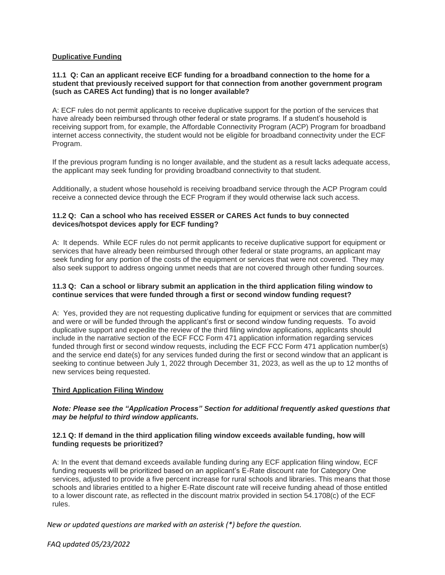# **Duplicative Funding**

# **11.1 Q: Can an applicant receive ECF funding for a broadband connection to the home for a student that previously received support for that connection from another government program (such as CARES Act funding) that is no longer available?**

A: ECF rules do not permit applicants to receive duplicative support for the portion of the services that have already been reimbursed through other federal or state programs. If a student's household is receiving support from, for example, the Affordable Connectivity Program (ACP) Program for broadband internet access connectivity, the student would not be eligible for broadband connectivity under the ECF Program.

If the previous program funding is no longer available, and the student as a result lacks adequate access, the applicant may seek funding for providing broadband connectivity to that student.

Additionally, a student whose household is receiving broadband service through the ACP Program could receive a connected device through the ECF Program if they would otherwise lack such access.

# **11.2 Q: Can a school who has received ESSER or CARES Act funds to buy connected devices/hotspot devices apply for ECF funding?**

A: It depends. While ECF rules do not permit applicants to receive duplicative support for equipment or services that have already been reimbursed through other federal or state programs, an applicant may seek funding for any portion of the costs of the equipment or services that were not covered. They may also seek support to address ongoing unmet needs that are not covered through other funding sources.

# **11.3 Q: Can a school or library submit an application in the third application filing window to continue services that were funded through a first or second window funding request?**

A: Yes, provided they are not requesting duplicative funding for equipment or services that are committed and were or will be funded through the applicant's first or second window funding requests. To avoid duplicative support and expedite the review of the third filing window applications, applicants should include in the narrative section of the ECF FCC Form 471 application information regarding services funded through first or second window requests, including the ECF FCC Form 471 application number(s) and the service end date(s) for any services funded during the first or second window that an applicant is seeking to continue between July 1, 2022 through December 31, 2023, as well as the up to 12 months of new services being requested.

# **Third Application Filing Window**

#### *Note: Please see the "Application Process" Section for additional frequently asked questions that may be helpful to third window applicants.*

#### **12.1 Q: If demand in the third application filing window exceeds available funding, how will funding requests be prioritized?**

A: In the event that demand exceeds available funding during any ECF application filing window, ECF funding requests will be prioritized based on an applicant's E-Rate discount rate for Category One services, adjusted to provide a five percent increase for rural schools and libraries. This means that those schools and libraries entitled to a higher E-Rate discount rate will receive funding ahead of those entitled to a lower discount rate, as reflected in the discount matrix provided in section 54.1708(c) of the ECF rules.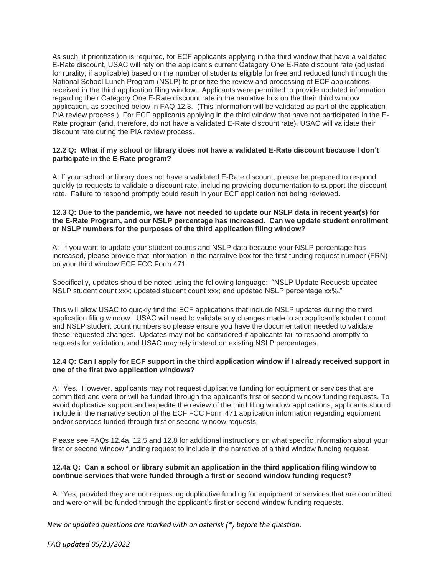As such, if prioritization is required, for ECF applicants applying in the third window that have a validated E-Rate discount, USAC will rely on the applicant's current Category One E-Rate discount rate (adjusted for rurality, if applicable) based on the number of students eligible for free and reduced lunch through the National School Lunch Program (NSLP) to prioritize the review and processing of ECF applications received in the third application filing window. Applicants were permitted to provide updated information regarding their Category One E-Rate discount rate in the narrative box on the their third window application, as specified below in FAQ 12.3. (This information will be validated as part of the application PIA review process.) For ECF applicants applying in the third window that have not participated in the E-Rate program (and, therefore, do not have a validated E-Rate discount rate), USAC will validate their discount rate during the PIA review process.

# **12.2 Q: What if my school or library does not have a validated E-Rate discount because I don't participate in the E-Rate program?**

A: If your school or library does not have a validated E-Rate discount, please be prepared to respond quickly to requests to validate a discount rate, including providing documentation to support the discount rate. Failure to respond promptly could result in your ECF application not being reviewed.

#### **12.3 Q: Due to the pandemic, we have not needed to update our NSLP data in recent year(s) for the E-Rate Program, and our NSLP percentage has increased. Can we update student enrollment or NSLP numbers for the purposes of the third application filing window?**

A: If you want to update your student counts and NSLP data because your NSLP percentage has increased, please provide that information in the narrative box for the first funding request number (FRN) on your third window ECF FCC Form 471.

Specifically, updates should be noted using the following language: "NSLP Update Request: updated NSLP student count xxx; updated student count xxx; and updated NSLP percentage xx%."

This will allow USAC to quickly find the ECF applications that include NSLP updates during the third application filing window. USAC will need to validate any changes made to an applicant's student count and NSLP student count numbers so please ensure you have the documentation needed to validate these requested changes. Updates may not be considered if applicants fail to respond promptly to requests for validation, and USAC may rely instead on existing NSLP percentages.

#### **12.4 Q: Can I apply for ECF support in the third application window if I already received support in one of the first two application windows?**

A: Yes. However, applicants may not request duplicative funding for equipment or services that are committed and were or will be funded through the applicant's first or second window funding requests. To avoid duplicative support and expedite the review of the third filing window applications, applicants should include in the narrative section of the ECF FCC Form 471 application information regarding equipment and/or services funded through first or second window requests.

Please see FAQs 12.4a, 12.5 and 12.8 for additional instructions on what specific information about your first or second window funding request to include in the narrative of a third window funding request.

#### **12.4a Q: Can a school or library submit an application in the third application filing window to continue services that were funded through a first or second window funding request?**

A: Yes, provided they are not requesting duplicative funding for equipment or services that are committed and were or will be funded through the applicant's first or second window funding requests.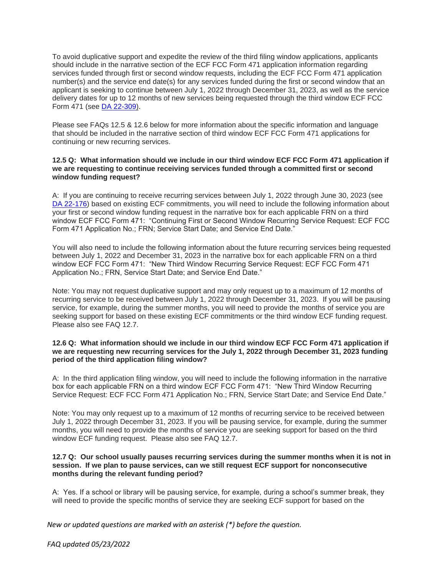To avoid duplicative support and expedite the review of the third filing window applications, applicants should include in the narrative section of the ECF FCC Form 471 application information regarding services funded through first or second window requests, including the ECF FCC Form 471 application number(s) and the service end date(s) for any services funded during the first or second window that an applicant is seeking to continue between July 1, 2022 through December 31, 2023, as well as the service delivery dates for up to 12 months of new services being requested through the third window ECF FCC Form 471 (see [DA 22-309\)](https://www.fcc.gov/document/fcc-announces-third-ecf-application-window).

Please see FAQs 12.5 & 12.6 below for more information about the specific information and language that should be included in the narrative section of third window ECF FCC Form 471 applications for continuing or new recurring services.

## **12.5 Q: What information should we include in our third window ECF FCC Form 471 application if we are requesting to continue receiving services funded through a committed first or second window funding request?**

A: If you are continuing to receive recurring services between July 1, 2022 through June 30, 2023 (see [DA 22-176\)](https://www.fcc.gov/document/wcb-extends-ecf-service-delivery-date-june-30-2023) based on existing ECF commitments, you will need to include the following information about your first or second window funding request in the narrative box for each applicable FRN on a third window ECF FCC Form 471: "Continuing First or Second Window Recurring Service Request: ECF FCC Form 471 Application No.; FRN; Service Start Date; and Service End Date."

You will also need to include the following information about the future recurring services being requested between July 1, 2022 and December 31, 2023 in the narrative box for each applicable FRN on a third window ECF FCC Form 471: "New Third Window Recurring Service Request: ECF FCC Form 471 Application No.; FRN, Service Start Date; and Service End Date."

Note: You may not request duplicative support and may only request up to a maximum of 12 months of recurring service to be received between July 1, 2022 through December 31, 2023. If you will be pausing service, for example, during the summer months, you will need to provide the months of service you are seeking support for based on these existing ECF commitments or the third window ECF funding request. Please also see FAQ 12.7.

# **12.6 Q: What information should we include in our third window ECF FCC Form 471 application if we are requesting new recurring services for the July 1, 2022 through December 31, 2023 funding period of the third application filing window?**

A: In the third application filing window, you will need to include the following information in the narrative box for each applicable FRN on a third window ECF FCC Form 471: "New Third Window Recurring Service Request: ECF FCC Form 471 Application No.; FRN, Service Start Date; and Service End Date."

Note: You may only request up to a maximum of 12 months of recurring service to be received between July 1, 2022 through December 31, 2023. If you will be pausing service, for example, during the summer months, you will need to provide the months of service you are seeking support for based on the third window ECF funding request. Please also see FAQ 12.7.

#### **12.7 Q: Our school usually pauses recurring services during the summer months when it is not in session. If we plan to pause services, can we still request ECF support for nonconsecutive months during the relevant funding period?**

A: Yes. If a school or library will be pausing service, for example, during a school's summer break, they will need to provide the specific months of service they are seeking ECF support for based on the